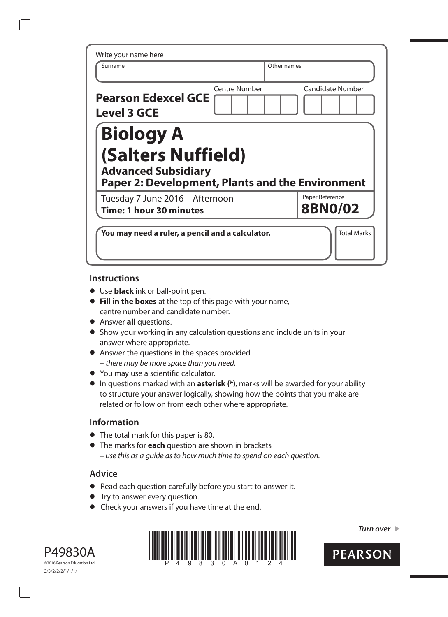| Surname                                                                     | Other names                       |
|-----------------------------------------------------------------------------|-----------------------------------|
| Centre Number<br><b>Pearson Edexcel GCE</b><br><b>Level 3 GCE</b>           | <b>Candidate Number</b>           |
| <b>Biology A</b><br><b>(Salters Nuffield)</b><br><b>Advanced Subsidiary</b> |                                   |
| <b>Paper 2: Development, Plants and the Environment</b>                     |                                   |
| Tuesday 7 June 2016 - Afternoon<br><b>Time: 1 hour 30 minutes</b>           | Paper Reference<br><b>8BN0/02</b> |

## **Instructions**

- **•** Use **black** ink or ball-point pen.
- **• Fill in the boxes** at the top of this page with your name, centre number and candidate number.
- **•** Answer **all** questions.
- **•** Show your working in any calculation questions and include units in your answer where appropriate.
- **•** Answer the questions in the spaces provided – *there may be more space than you need*.
- **•** You may use a scientific calculator.
- **•** In questions marked with an **asterisk (\*)**, marks will be awarded for your ability to structure your answer logically, showing how the points that you make are related or follow on from each other where appropriate.

## **Information**

- **•** The total mark for this paper is 80.
- **•** The marks for **each** question are shown in brackets *– use this as a guide as to how much time to spend on each question.*

## **Advice**

- **•** Read each question carefully before you start to answer it.
- **•** Try to answer every question.
- **•** Check your answers if you have time at the end.





*Turn over* 

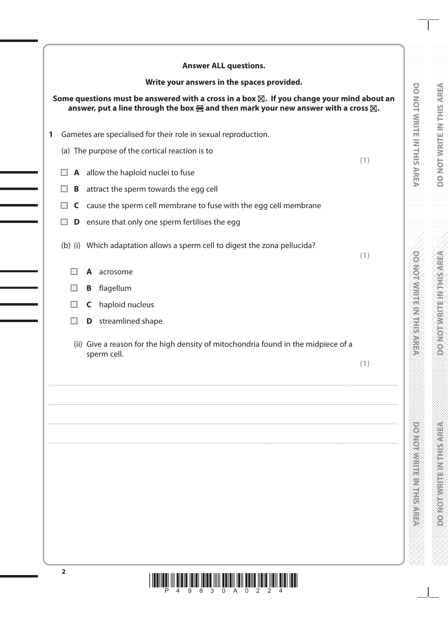| Write your answers in the spaces provided.<br>Some questions must be answered with a cross in a box $\boxtimes$ . If you change your mind about an<br>answer, put a line through the box $\boxtimes$ and then mark your new answer with a cross $\boxtimes$ .<br>Gametes are specialised for their role in sexual reproduction.<br>1<br>(a) The purpose of the cortical reaction is to<br>A allow the haploid nuclei to fuse<br>$\boxtimes$<br>attract the sperm towards the egg cell<br>B<br>$\times$<br>cause the sperm cell membrane to fuse with the egg cell membrane<br>C<br>$\boxtimes$<br>ensure that only one sperm fertilises the egg<br>D<br>$\times$<br>(b) (i) Which adaptation allows a sperm cell to digest the zona pellucida? | (1) |
|------------------------------------------------------------------------------------------------------------------------------------------------------------------------------------------------------------------------------------------------------------------------------------------------------------------------------------------------------------------------------------------------------------------------------------------------------------------------------------------------------------------------------------------------------------------------------------------------------------------------------------------------------------------------------------------------------------------------------------------------|-----|
|                                                                                                                                                                                                                                                                                                                                                                                                                                                                                                                                                                                                                                                                                                                                                |     |
|                                                                                                                                                                                                                                                                                                                                                                                                                                                                                                                                                                                                                                                                                                                                                |     |
|                                                                                                                                                                                                                                                                                                                                                                                                                                                                                                                                                                                                                                                                                                                                                |     |
|                                                                                                                                                                                                                                                                                                                                                                                                                                                                                                                                                                                                                                                                                                                                                |     |
|                                                                                                                                                                                                                                                                                                                                                                                                                                                                                                                                                                                                                                                                                                                                                |     |
|                                                                                                                                                                                                                                                                                                                                                                                                                                                                                                                                                                                                                                                                                                                                                |     |
|                                                                                                                                                                                                                                                                                                                                                                                                                                                                                                                                                                                                                                                                                                                                                |     |
|                                                                                                                                                                                                                                                                                                                                                                                                                                                                                                                                                                                                                                                                                                                                                |     |
|                                                                                                                                                                                                                                                                                                                                                                                                                                                                                                                                                                                                                                                                                                                                                | (1) |
| $\boxtimes$<br>A<br>acrosome                                                                                                                                                                                                                                                                                                                                                                                                                                                                                                                                                                                                                                                                                                                   |     |
| flagellum<br>$\times$<br>B                                                                                                                                                                                                                                                                                                                                                                                                                                                                                                                                                                                                                                                                                                                     |     |
| haploid nucleus<br>X<br>C                                                                                                                                                                                                                                                                                                                                                                                                                                                                                                                                                                                                                                                                                                                      |     |
| streamlined shape<br>$\times$<br>D                                                                                                                                                                                                                                                                                                                                                                                                                                                                                                                                                                                                                                                                                                             |     |
| (ii) Give a reason for the high density of mitochondria found in the midpiece of a<br>sperm cell.                                                                                                                                                                                                                                                                                                                                                                                                                                                                                                                                                                                                                                              |     |
|                                                                                                                                                                                                                                                                                                                                                                                                                                                                                                                                                                                                                                                                                                                                                |     |

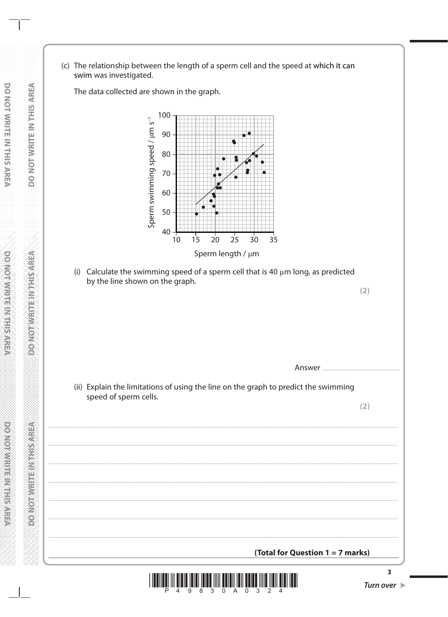(c) The relationship between the length of a sperm cell and the speed at which it can swim was investigated.

The data collected are shown in the graph.



(Total for Question 1 = 7 marks)



 $(2)$ 

 $(2)$ 

**PORTOR METHODS CONSIST**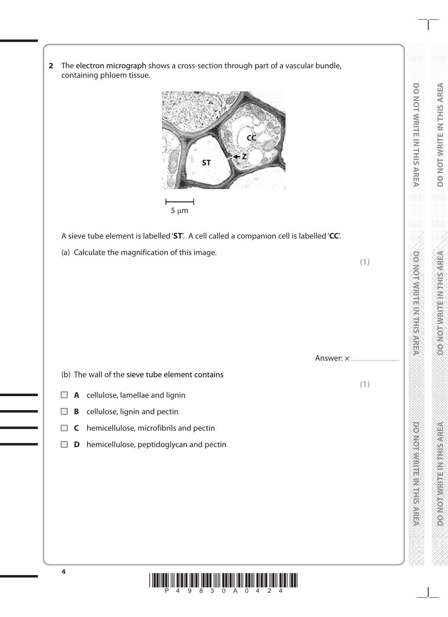**2** The electron micrograph shows a cross-section through part of a vascular bundle, containing phloem tissue.



A sieve tube element is labelled '**ST**'. A cell called a companion cell is labelled '**CC**'.

(a) Calculate the magnification of this image.



**(1)**

**(1)**

- (b) The wall of the sieve tube element contains
- **A** cellulose, lamellae and lignin
- **B** cellulose, lignin and pectin
- **C** hemicellulose, microfibrils and pectin
- **D** hemicellulose, peptidoglycan and pectin

**DO NOT WRITE IN THE INTERNATION** 

DO NOT WRITE IN THIS AREA

**DO NOT WRITE IN THE INTERNATIONAL CONTRACTOR** 

**DOMOTWRITE INTHISAREA** 

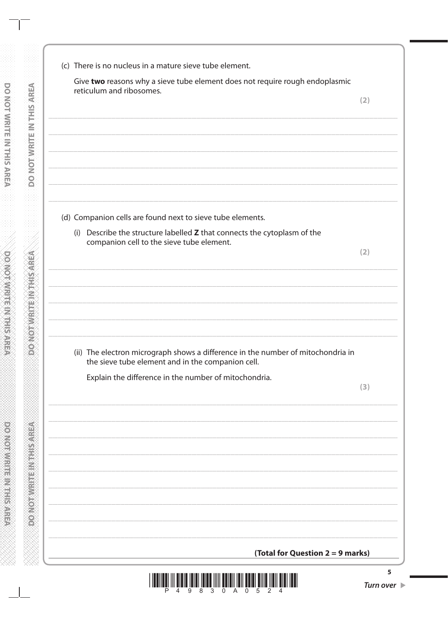(c) There is no nucleus in a mature sieve tube element. Give two reasons why a sieve tube element does not require rough endoplasmic reticulum and ribosomes.  $(2)$ (d) Companion cells are found next to sieve tube elements. (i) Describe the structure labelled Z that connects the cytoplasm of the companion cell to the sieve tube element.  $(2)$ (ii) The electron micrograph shows a difference in the number of mitochondria in the sieve tube element and in the companion cell. Explain the difference in the number of mitochondria.  $(3)$ (Total for Question 2 = 9 marks) 5

**OO NOT WRITEIN THIS AREA** 

**OT WATERWITHIS AREA** 

ž

Ê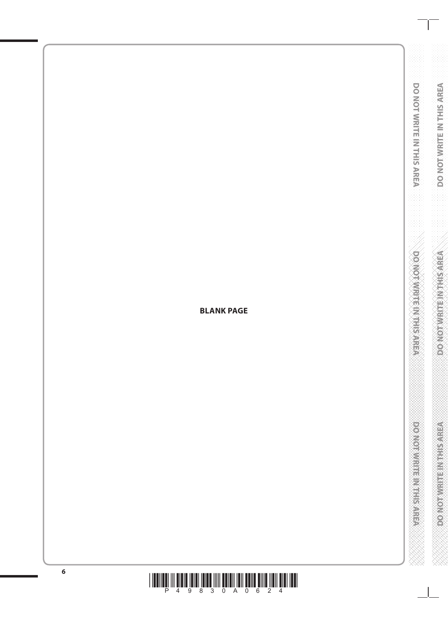88888

**DO NOT WRITE IN THE INTERNATIONAL CONTRACTOR** 

**DOMOTAMRITEINTHIS AREA** 



**BLANK PAGE**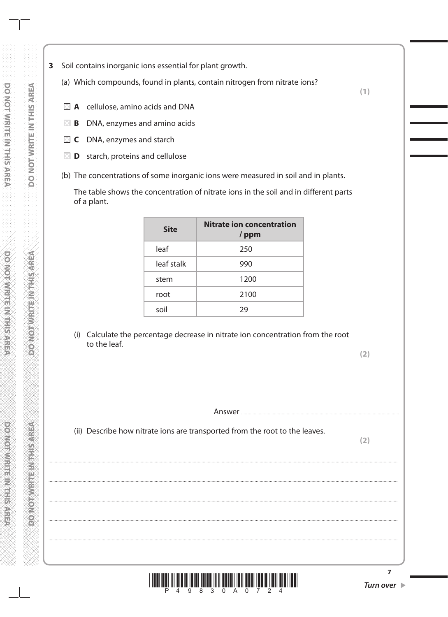- **3** Soil contains inorganic ions essential for plant growth.
	- (a) Which compounds, found in plants, contain nitrogen from nitrate ions?
	- **A** cellulose, amino acids and DNA
	- **B** DNA, enzymes and amino acids
	- **C** DNA, enzymes and starch
	- **D** starch, proteins and cellulose
	- (b) The concentrations of some inorganic ions were measured in soil and in plants.

 The table shows the concentration of nitrate ions in the soil and in different parts of a plant.

| <b>Site</b> | <b>Nitrate ion concentration</b><br>$/$ ppm |
|-------------|---------------------------------------------|
| leaf        | 250                                         |
| leaf stalk  | 990                                         |
| stem        | 1200                                        |
| root        | 2100                                        |
| soil        | 29                                          |

 (i) Calculate the percentage decrease in nitrate ion concentration from the root to the leaf.

**(1)**

Answer .............................................................................................................................

....................................................................................................................................................................................................................................................................................

....................................................................................................................................................................................................................................................................................

....................................................................................................................................................................................................................................................................................

....................................................................................................................................................................................................................................................................................

....................................................................................................................................................................................................................................................................................

(ii) Describe how nitrate ions are transported from the root to the leaves.

**(2)**



**7**

**DONOTAIR REINTHSAREA**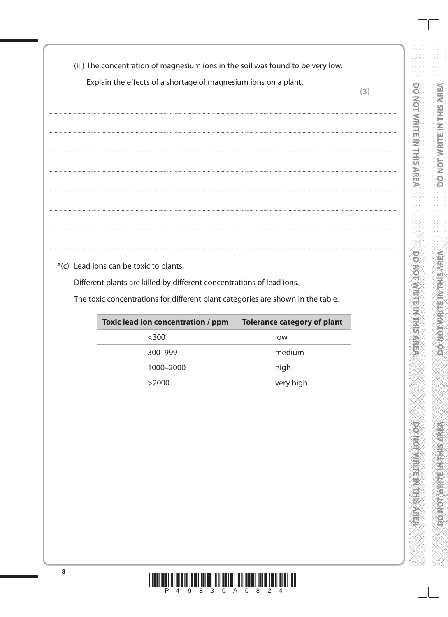(iii) The concentration of magnesium ions in the soil was found to be very low.

Explain the effects of a shortage of magnesium ions on a plant.

 $(3)$ 

DO NOT WRITE IN THIS AREA

\*(c) Lead ions can be toxic to plants.

Different plants are killed by different concentrations of lead ions.

The toxic concentrations for different plant categories are shown in the table.

| Toxic lead ion concentration / ppm | <b>Tolerance category of plant</b> |
|------------------------------------|------------------------------------|
| $<$ 300                            | low                                |
| 300-999                            | medium                             |
| 1000-2000                          | high                               |
| >2000                              | very high                          |



**DOMOT/WRITE/MTHISAREA** 

8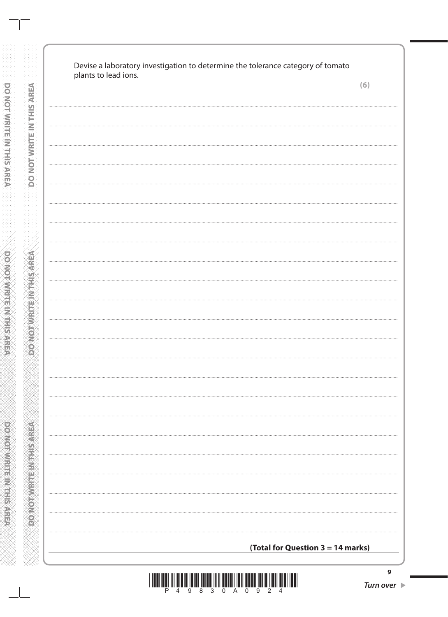|                                  | Devise a laboratory investigation to determine the tolerance category of tomato |     |
|----------------------------------|---------------------------------------------------------------------------------|-----|
|                                  | plants to lead ions.                                                            | (6) |
|                                  |                                                                                 |     |
| <b>DO NOT WRITE IN THIS AREA</b> |                                                                                 |     |
|                                  |                                                                                 |     |
|                                  |                                                                                 |     |
|                                  |                                                                                 |     |
|                                  |                                                                                 |     |
|                                  |                                                                                 |     |
|                                  |                                                                                 |     |
|                                  |                                                                                 |     |
|                                  |                                                                                 |     |
|                                  |                                                                                 |     |
|                                  |                                                                                 |     |
|                                  |                                                                                 |     |
|                                  |                                                                                 |     |
|                                  |                                                                                 |     |
|                                  |                                                                                 |     |
|                                  |                                                                                 |     |
|                                  |                                                                                 |     |
| <b>VERVISHED CELL WEEK</b>       | $\cdots$                                                                        |     |
|                                  |                                                                                 |     |
|                                  |                                                                                 |     |
|                                  |                                                                                 |     |
|                                  |                                                                                 |     |
|                                  |                                                                                 |     |
|                                  |                                                                                 |     |
|                                  |                                                                                 |     |
|                                  |                                                                                 |     |
|                                  |                                                                                 |     |
|                                  |                                                                                 |     |
|                                  |                                                                                 |     |
|                                  |                                                                                 |     |
|                                  |                                                                                 |     |
| <b>MERKER HERRING CONCO</b>      | $\cdots$                                                                        |     |
|                                  |                                                                                 |     |
|                                  |                                                                                 |     |
|                                  | (Total for Question 3 = 14 marks)                                               |     |
|                                  |                                                                                 |     |



 $\overline{9}$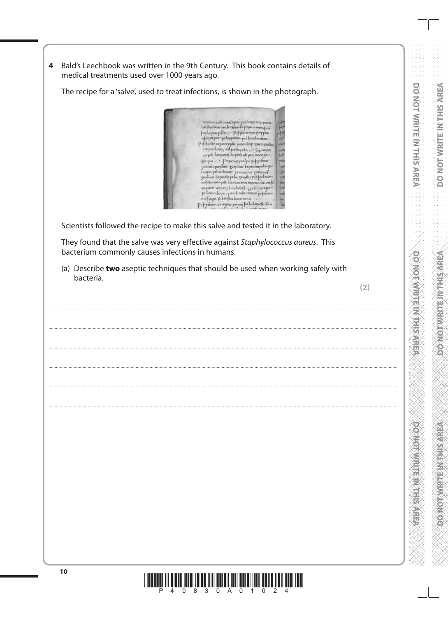Bald's Leechbook was written in the 9th Century. This book contains details of  $\overline{\mathbf{4}}$ medical treatments used over 1000 years ago.

The recipe for a 'salve', used to treat infections, is shown in the photograph.

 $J<sub>1</sub>$ **Service** paplapan pilles ... Papple own pluppa 七九 mloy pyllocal- $\alpha$  and  $\alpha$  and  $\alpha$ Hero way Taylor vice 54 ii hernocé hopatrabpan **LATE** 小学 Prpentyodp-pipps Toy low bownimpels or becoming the centing pipp 533 se onbë ms bouldab geoblycope  $\rightarrow$ out aver fobrefarlow F والمراع chi far ngen gen

Scientists followed the recipe to make this salve and tested it in the laboratory.

They found that the salve was very effective against Staphylococcus aureus. This bacterium commonly causes infections in humans.

(a) Describe two aseptic techniques that should be used when working safely with bacteria.

DO NOT WRITE IN THIS AREA

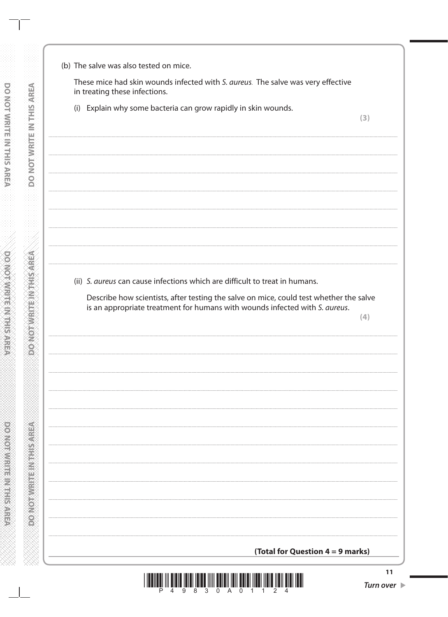(b) The salve was also tested on mice.

These mice had skin wounds infected with S. aureus. The salve was very effective in treating these infections.

(i) Explain why some bacteria can grow rapidly in skin wounds.

 $(3)$ 

(ii) S. *aureus* can cause infections which are difficult to treat in humans.

Describe how scientists, after testing the salve on mice, could test whether the salve is an appropriate treatment for humans with wounds infected with S. aureus.

 $(4)$ 

**PONOT WRITEIN THIS AREA** 

**PORTOR METHODS CONTENT** 

| (Total for Question $4 = 9$ marks) |
|------------------------------------|
|                                    |

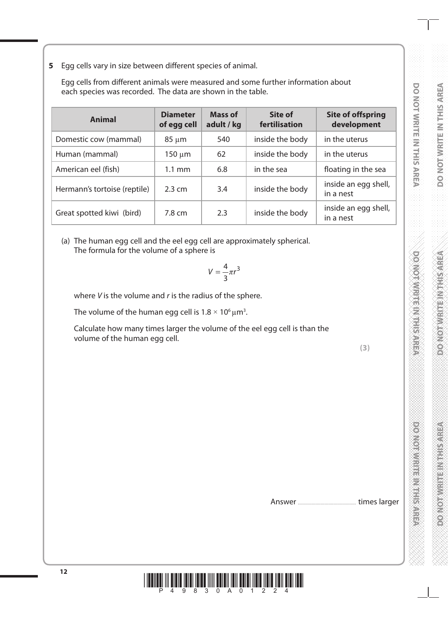**5** Egg cells vary in size between different species of animal.

Egg cells from different animals were measured and some further information about each species was recorded. The data are shown in the table.

| <b>Animal</b>                | <b>Diameter</b><br>of egg cell | <b>Mass of</b><br>adult / kg | Site of<br>fertilisation | <b>Site of offspring</b><br>development |
|------------------------------|--------------------------------|------------------------------|--------------------------|-----------------------------------------|
| Domestic cow (mammal)        | $85 \mu m$                     | 540                          | inside the body          | in the uterus                           |
| Human (mammal)               | $150 \mu m$                    | 62                           | inside the body          | in the uterus                           |
| American eel (fish)          | $1.1 \text{ mm}$               | 6.8                          | in the sea               | floating in the sea                     |
| Hermann's tortoise (reptile) | 2.3 cm                         | 3.4                          | inside the body          | inside an egg shell,<br>in a nest       |
| Great spotted kiwi (bird)    | 7.8 cm                         | 2.3                          | inside the body          | inside an egg shell,<br>in a nest       |

(a) The human egg cell and the eel egg cell are approximately spherical. The formula for the volume of a sphere is

$$
V=\frac{4}{3}\pi r^3
$$

where *V* is the volume and *r* is the radius of the sphere.

The volume of the human egg cell is 1.8  $\times$  10 $^6$ µm $^3$ .

 Calculate how many times larger the volume of the eel egg cell is than the volume of the human egg cell.

**(3)**



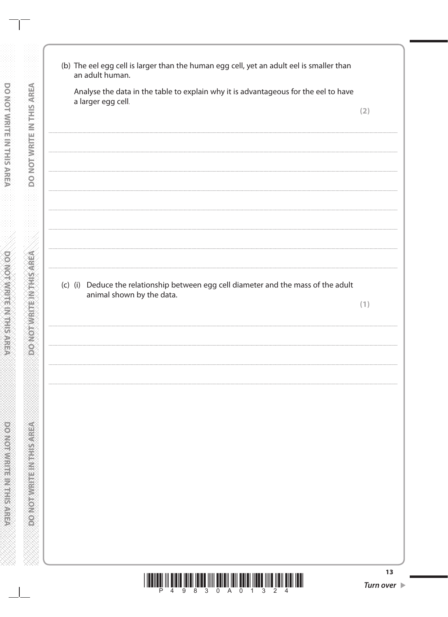| (b) The eel egg cell is larger than the human egg cell, yet an adult eel is smaller than<br>an adult human.      |     |
|------------------------------------------------------------------------------------------------------------------|-----|
| Analyse the data in the table to explain why it is advantageous for the eel to have<br>a larger egg cell.        | (2) |
|                                                                                                                  |     |
|                                                                                                                  |     |
|                                                                                                                  |     |
| (c) (i) Deduce the relationship between egg cell diameter and the mass of the adult<br>animal shown by the data. | (1) |
|                                                                                                                  |     |
|                                                                                                                  |     |
|                                                                                                                  |     |
|                                                                                                                  |     |
|                                                                                                                  |     |
|                                                                                                                  |     |
|                                                                                                                  |     |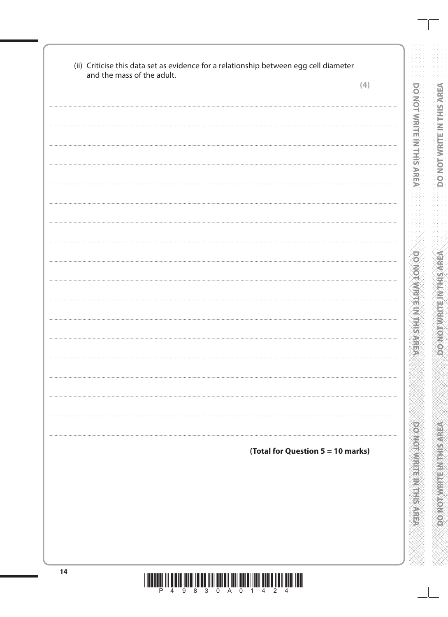| and the mass of the adult. | (4)                               |
|----------------------------|-----------------------------------|
|                            |                                   |
|                            |                                   |
|                            |                                   |
|                            |                                   |
|                            |                                   |
|                            |                                   |
|                            |                                   |
|                            |                                   |
|                            |                                   |
|                            |                                   |
|                            |                                   |
|                            |                                   |
|                            |                                   |
|                            |                                   |
|                            |                                   |
|                            |                                   |
|                            |                                   |
|                            |                                   |
|                            |                                   |
|                            |                                   |
|                            |                                   |
|                            |                                   |
|                            |                                   |
|                            |                                   |
|                            |                                   |
|                            | (Total for Question 5 = 10 marks) |
|                            |                                   |
|                            |                                   |
|                            |                                   |
|                            |                                   |
|                            |                                   |
|                            |                                   |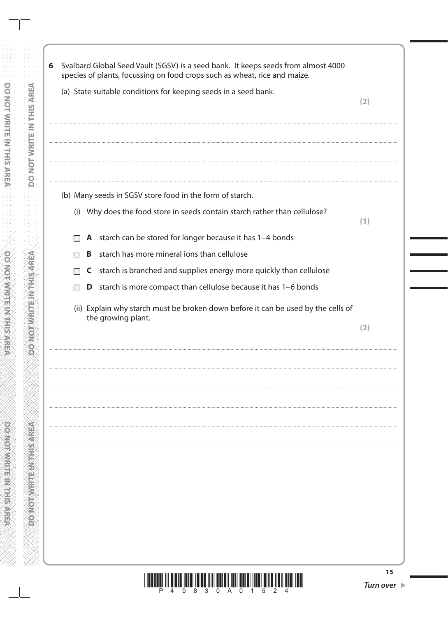|                |   | (a) State suitable conditions for keeping seeds in a seed bank.                                           | (2) |
|----------------|---|-----------------------------------------------------------------------------------------------------------|-----|
|                |   |                                                                                                           |     |
|                |   |                                                                                                           |     |
|                |   |                                                                                                           |     |
|                |   |                                                                                                           |     |
|                |   | (b) Many seeds in SGSV store food in the form of starch.                                                  |     |
|                |   | (i) Why does the food store in seeds contain starch rather than cellulose?                                |     |
| 区              |   |                                                                                                           | (1) |
| M              | B | A starch can be stored for longer because it has 1-4 bonds<br>starch has more mineral ions than cellulose |     |
| $\boxtimes$    |   | C starch is branched and supplies energy more quickly than cellulose                                      |     |
| $\mathbb{R}^2$ |   | <b>D</b> starch is more compact than cellulose because it has $1-6$ bonds                                 |     |
|                |   |                                                                                                           |     |
|                |   | (ii) Explain why starch must be broken down before it can be used by the cells of<br>the growing plant.   |     |
|                |   |                                                                                                           | (2) |
|                |   |                                                                                                           |     |
|                |   |                                                                                                           |     |
|                |   |                                                                                                           |     |
|                |   |                                                                                                           |     |
|                |   |                                                                                                           |     |
|                |   |                                                                                                           |     |
|                |   |                                                                                                           |     |
|                |   |                                                                                                           |     |
|                |   |                                                                                                           |     |
|                |   |                                                                                                           |     |
|                |   |                                                                                                           |     |

1

**DO NOT WRITE IN THIS AREA** 

**DONOTWRITE IN THIS AREA** 

**DONOT WRITE INTHIS AREA** 



 $15$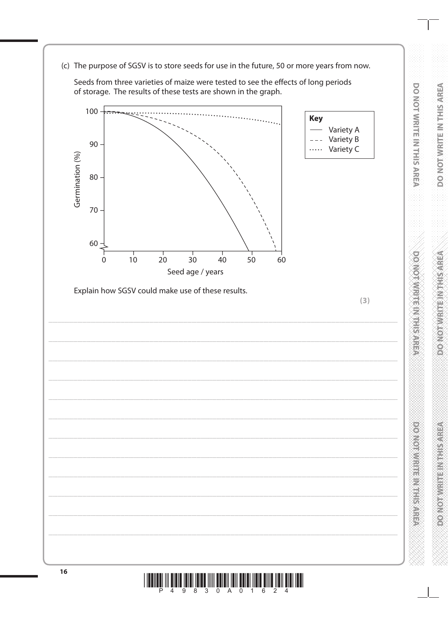(c) The purpose of SGSV is to store seeds for use in the future, 50 or more years from now.

Seeds from three varieties of maize were tested to see the effects of long periods of storage. The results of these tests are shown in the graph.

**DO NOT WRITE IN THIS AREA** 

**DO NOT WRITE/INCREASER** 

**PERSONAL PROPERTY AND RESIDENCE** 



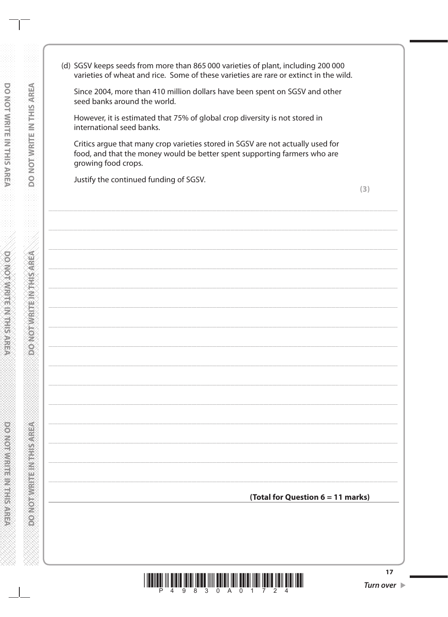(d) SGSV keeps seeds from more than 865 000 varieties of plant, including 200 000 varieties of wheat and rice. Some of these varieties are rare or extinct in the wild.

Since 2004, more than 410 million dollars have been spent on SGSV and other seed banks around the world.

However, it is estimated that 75% of global crop diversity is not stored in international seed banks.

Critics argue that many crop varieties stored in SGSV are not actually used for food, and that the money would be better spent supporting farmers who are growing food crops.

Justify the continued funding of SGSV.

 $(3)$ 

(Total for Question 6 = 11 marks)



**RESIDENT RESIDENCE**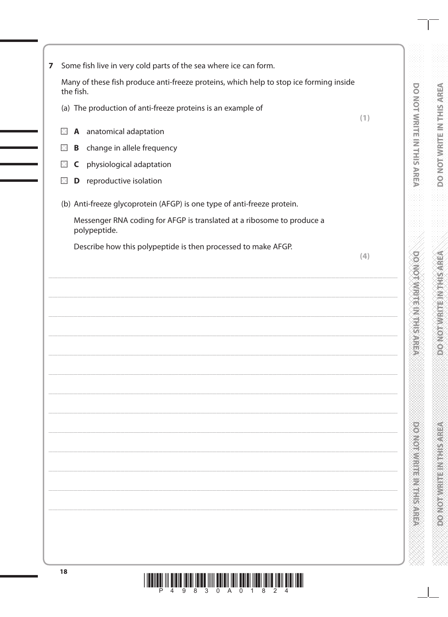|           | Some fish live in very cold parts of the sea where ice can form.                       |     |
|-----------|----------------------------------------------------------------------------------------|-----|
| the fish. | Many of these fish produce anti-freeze proteins, which help to stop ice forming inside |     |
|           | (a) The production of anti-freeze proteins is an example of                            | (1) |
|           | A anatomical adaptation                                                                |     |
| B         | change in allele frequency                                                             |     |
| C         | physiological adaptation                                                               |     |
| D         | reproductive isolation                                                                 |     |
|           | (b) Anti-freeze glycoprotein (AFGP) is one type of anti-freeze protein.                |     |
|           | Messenger RNA coding for AFGP is translated at a ribosome to produce a<br>polypeptide. |     |
|           | Describe how this polypeptide is then processed to make AFGP.                          |     |
|           |                                                                                        | (4) |
|           |                                                                                        |     |
|           |                                                                                        |     |
|           |                                                                                        |     |
|           |                                                                                        |     |
|           |                                                                                        |     |
|           |                                                                                        |     |
|           |                                                                                        |     |
|           |                                                                                        |     |
|           |                                                                                        |     |
|           |                                                                                        |     |
|           |                                                                                        |     |
|           |                                                                                        |     |
|           |                                                                                        |     |
|           |                                                                                        |     |
|           |                                                                                        |     |
|           |                                                                                        |     |
|           |                                                                                        |     |
|           |                                                                                        |     |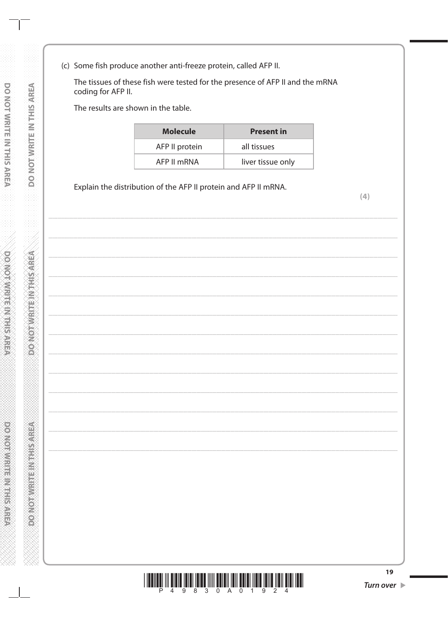(c) Some fish produce another anti-freeze protein, called AFP II.

The tissues of these fish were tested for the presence of AFP II and the mRNA coding for AFP II.

The results are shown in the table.

| <b>Molecule</b> | <b>Present in</b> |
|-----------------|-------------------|
| AFP II protein  | all tissues       |
| AFP II mRNA     | liver tissue only |

Explain the distribution of the AFP II protein and AFP II mRNA.

 $(4)$ 

**DONOTWRITEINTHISAREA** 

**DONOTAIR TEIN HIS AREA**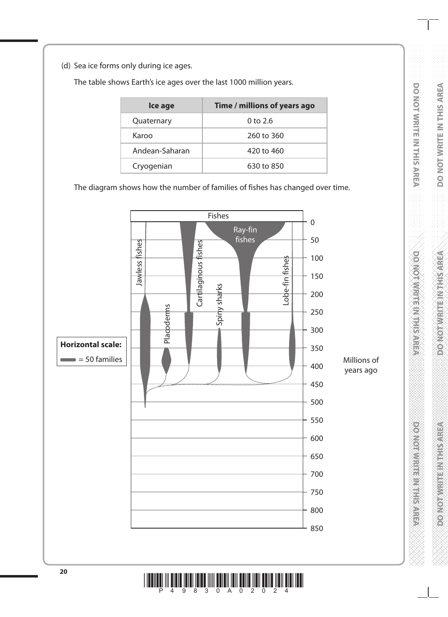(d) Sea ice forms only during ice ages.

The table shows Earth's ice ages over the last 1000 million years.

| Ice age        | Time / millions of years ago |
|----------------|------------------------------|
| Quaternary     | $0$ to 2.6                   |
| Karoo          | 260 to 360                   |
| Andean-Saharan | 420 to 460                   |
| Cryogenian     | 630 to 850                   |

The diagram shows how the number of families of fishes has changed over time.



Millions of years ago

> **DOOMOODWELF IN THIS AREA DO NOT WRITE IN THIS AREA**

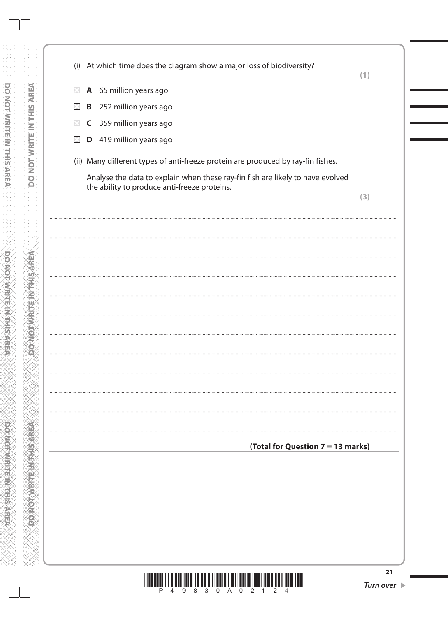|          | (i) At which time does the diagram show a major loss of biodiversity?            | (1) |
|----------|----------------------------------------------------------------------------------|-----|
|          | $\blacksquare$ <b>A</b> 65 million years ago                                     |     |
| $\times$ | <b>B</b> 252 million years ago                                                   |     |
|          | $\boxtimes$ <b>C</b> 359 million years ago                                       |     |
| $\times$ | <b>D</b> 419 million years ago                                                   |     |
|          | (ii) Many different types of anti-freeze protein are produced by ray-fin fishes. |     |
|          | Analyse the data to explain when these ray-fin fish are likely to have evolved   |     |
|          | the ability to produce anti-freeze proteins.                                     | (3) |
|          |                                                                                  |     |
|          |                                                                                  |     |
|          |                                                                                  |     |
|          |                                                                                  |     |
|          |                                                                                  |     |
|          |                                                                                  |     |
|          |                                                                                  |     |
|          |                                                                                  |     |
|          |                                                                                  |     |
|          |                                                                                  |     |
|          |                                                                                  |     |
|          |                                                                                  |     |
|          |                                                                                  |     |
|          |                                                                                  |     |
|          |                                                                                  |     |
|          |                                                                                  |     |
|          | (Total for Question 7 = 13 marks)                                                |     |
|          |                                                                                  |     |
|          |                                                                                  |     |
|          |                                                                                  |     |
|          |                                                                                  |     |



**DONOTWRITE IN THIS AREA** 

**DO NOT WRITE INTHIS AREA**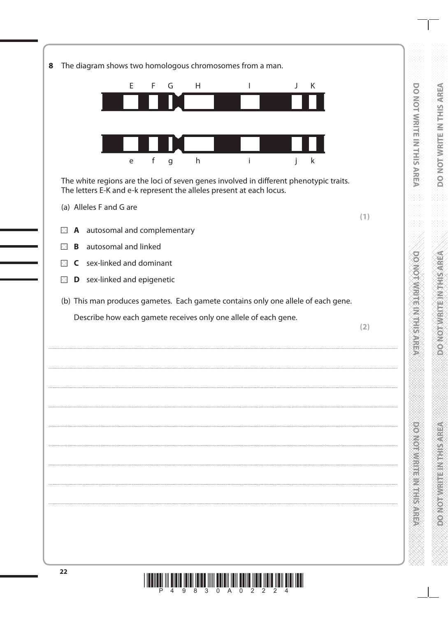|   | The diagram shows two homologous chromosomes from a man. |                                                     |   |              |   |                                                                                                                                                                |   |     |                              |
|---|----------------------------------------------------------|-----------------------------------------------------|---|--------------|---|----------------------------------------------------------------------------------------------------------------------------------------------------------------|---|-----|------------------------------|
|   |                                                          | Ε                                                   | F | G            | Η |                                                                                                                                                                | K |     |                              |
|   |                                                          |                                                     |   |              |   |                                                                                                                                                                |   |     |                              |
|   |                                                          |                                                     |   |              |   |                                                                                                                                                                |   |     |                              |
|   |                                                          |                                                     |   |              |   |                                                                                                                                                                |   |     |                              |
|   |                                                          | $\epsilon$                                          | f | $\mathsf{g}$ | h | I                                                                                                                                                              | k |     |                              |
|   |                                                          |                                                     |   |              |   | The white regions are the loci of seven genes involved in different phenotypic traits.<br>The letters E-K and e-k represent the alleles present at each locus. |   |     |                              |
|   |                                                          | (a) Alleles F and G are                             |   |              |   |                                                                                                                                                                |   |     |                              |
|   |                                                          |                                                     |   |              |   |                                                                                                                                                                |   | (1) |                              |
| B | A                                                        | autosomal and complementary<br>autosomal and linked |   |              |   |                                                                                                                                                                |   |     |                              |
|   | C                                                        | sex-linked and dominant                             |   |              |   |                                                                                                                                                                |   |     |                              |
|   |                                                          |                                                     |   |              |   |                                                                                                                                                                |   |     |                              |
|   |                                                          |                                                     |   |              |   |                                                                                                                                                                |   |     |                              |
|   | D                                                        | sex-linked and epigenetic                           |   |              |   |                                                                                                                                                                |   |     |                              |
|   |                                                          |                                                     |   |              |   | (b) This man produces gametes. Each gamete contains only one allele of each gene.                                                                              |   |     |                              |
|   |                                                          |                                                     |   |              |   | Describe how each gamete receives only one allele of each gene.                                                                                                |   | (2) |                              |
|   |                                                          |                                                     |   |              |   |                                                                                                                                                                |   |     |                              |
|   |                                                          |                                                     |   |              |   |                                                                                                                                                                |   |     |                              |
|   |                                                          |                                                     |   |              |   |                                                                                                                                                                |   |     | <b>ONOTWEITING TERMISTIC</b> |
|   |                                                          |                                                     |   |              |   |                                                                                                                                                                |   |     |                              |
|   |                                                          |                                                     |   |              |   |                                                                                                                                                                |   |     |                              |
|   |                                                          |                                                     |   |              |   |                                                                                                                                                                |   |     |                              |
|   |                                                          |                                                     |   |              |   |                                                                                                                                                                |   |     |                              |
|   |                                                          |                                                     |   |              |   |                                                                                                                                                                |   |     |                              |
|   |                                                          |                                                     |   |              |   |                                                                                                                                                                |   |     |                              |
|   |                                                          |                                                     |   |              |   |                                                                                                                                                                |   |     |                              |
|   |                                                          |                                                     |   |              |   |                                                                                                                                                                |   |     |                              |
|   |                                                          |                                                     |   |              |   |                                                                                                                                                                |   |     |                              |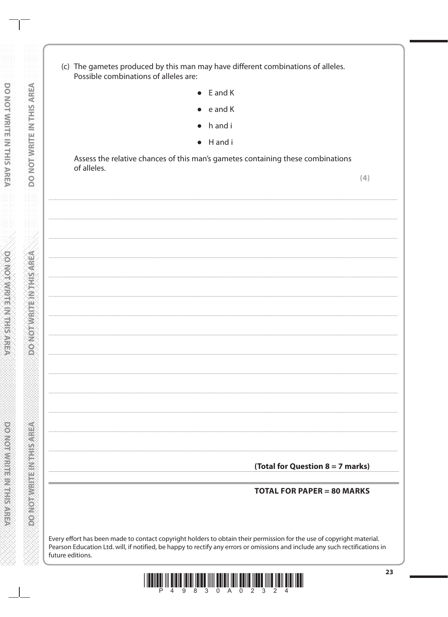|                                                                                                | $\bullet$ E and K |                                   |     |
|------------------------------------------------------------------------------------------------|-------------------|-----------------------------------|-----|
|                                                                                                | $\bullet$ e and K |                                   |     |
|                                                                                                | $\bullet$ h and i |                                   |     |
|                                                                                                | $\bullet$ H and i |                                   |     |
| Assess the relative chances of this man's gametes containing these combinations<br>of alleles. |                   |                                   |     |
|                                                                                                |                   |                                   | (4) |
|                                                                                                |                   |                                   |     |
|                                                                                                |                   |                                   |     |
|                                                                                                |                   |                                   |     |
|                                                                                                |                   |                                   |     |
|                                                                                                |                   |                                   |     |
|                                                                                                |                   |                                   |     |
|                                                                                                |                   |                                   |     |
|                                                                                                |                   |                                   |     |
|                                                                                                |                   |                                   |     |
|                                                                                                |                   |                                   |     |
|                                                                                                |                   |                                   |     |
|                                                                                                |                   |                                   |     |
|                                                                                                |                   |                                   |     |
|                                                                                                |                   |                                   |     |
|                                                                                                |                   |                                   |     |
|                                                                                                |                   |                                   |     |
|                                                                                                |                   |                                   |     |
|                                                                                                |                   | (Total for Question 8 = 7 marks)  |     |
|                                                                                                |                   | <b>TOTAL FOR PAPER = 80 MARKS</b> |     |
|                                                                                                |                   |                                   |     |

**DO NOT WRITE IN THIS AREA** 

**DONOTWRITE IN THIS AREA** 

**DOMORWARE INTHISIONER**